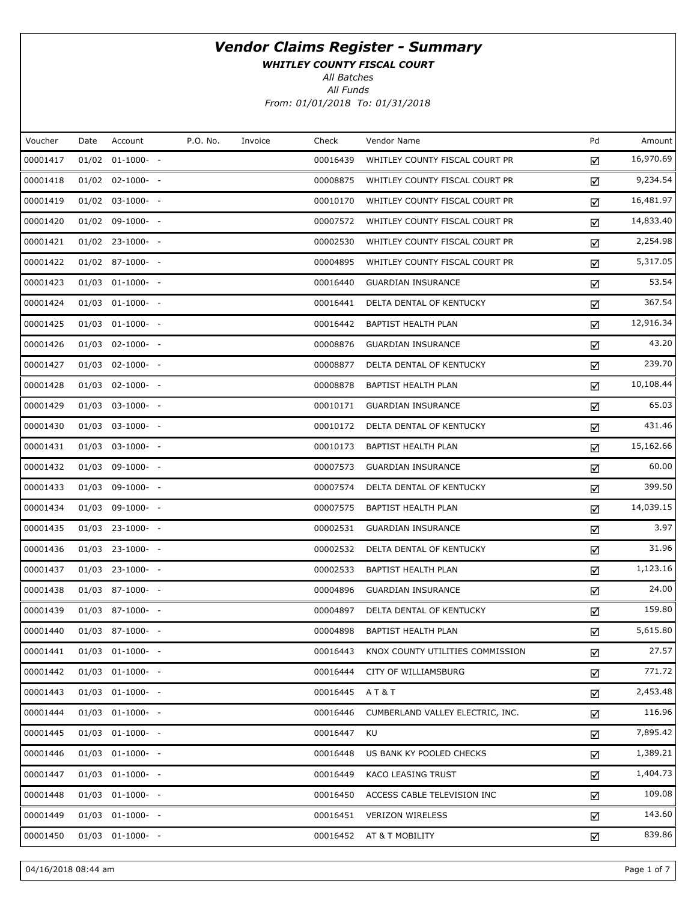WHITLEY COUNTY FISCAL COURT

All Batches

All Funds From: 01/01/2018 To: 01/31/2018

| Voucher  | Date | Account               | P.O. No. | Invoice | Check    | Vendor Name                      | Pd | Amount    |
|----------|------|-----------------------|----------|---------|----------|----------------------------------|----|-----------|
| 00001417 |      | $01/02$ $01-1000-$ -  |          |         | 00016439 | WHITLEY COUNTY FISCAL COURT PR   | ☑  | 16,970.69 |
| 00001418 |      | $01/02$ $02-1000$ - - |          |         | 00008875 | WHITLEY COUNTY FISCAL COURT PR   | ☑  | 9,234.54  |
| 00001419 |      | $01/02$ 03-1000- -    |          |         | 00010170 | WHITLEY COUNTY FISCAL COURT PR   | ☑  | 16,481.97 |
| 00001420 |      | $01/02$ 09-1000- -    |          |         | 00007572 | WHITLEY COUNTY FISCAL COURT PR   | ☑  | 14,833.40 |
| 00001421 |      | $01/02$ 23-1000- -    |          |         | 00002530 | WHITLEY COUNTY FISCAL COURT PR   | ☑  | 2,254.98  |
| 00001422 |      | $01/02$ 87-1000- -    |          |         | 00004895 | WHITLEY COUNTY FISCAL COURT PR   | ☑  | 5,317.05  |
| 00001423 |      | $01/03$ $01-1000-$ -  |          |         | 00016440 | <b>GUARDIAN INSURANCE</b>        | ☑  | 53.54     |
| 00001424 |      | $01/03$ $01-1000-$ -  |          |         | 00016441 | DELTA DENTAL OF KENTUCKY         | ☑  | 367.54    |
| 00001425 |      | $01/03$ $01-1000-$ -  |          |         | 00016442 | BAPTIST HEALTH PLAN              | ☑  | 12,916.34 |
| 00001426 |      | $01/03$ 02-1000- -    |          |         | 00008876 | <b>GUARDIAN INSURANCE</b>        | ☑  | 43.20     |
| 00001427 |      | $01/03$ 02-1000- -    |          |         | 00008877 | DELTA DENTAL OF KENTUCKY         | ☑  | 239.70    |
| 00001428 |      | $01/03$ 02-1000- -    |          |         | 00008878 | BAPTIST HEALTH PLAN              | ☑  | 10,108.44 |
| 00001429 |      | $01/03$ 03-1000- -    |          |         | 00010171 | <b>GUARDIAN INSURANCE</b>        | ☑  | 65.03     |
| 00001430 |      | $01/03$ 03-1000- -    |          |         | 00010172 | DELTA DENTAL OF KENTUCKY         | ☑  | 431.46    |
| 00001431 |      | $01/03$ 03-1000- -    |          |         | 00010173 | BAPTIST HEALTH PLAN              | ☑  | 15,162.66 |
| 00001432 |      | 01/03 09-1000- -      |          |         | 00007573 | <b>GUARDIAN INSURANCE</b>        | ☑  | 60.00     |
| 00001433 |      | $01/03$ 09-1000- -    |          |         | 00007574 | DELTA DENTAL OF KENTUCKY         | ☑  | 399.50    |
| 00001434 |      | 01/03 09-1000- -      |          |         | 00007575 | BAPTIST HEALTH PLAN              | ☑  | 14,039.15 |
| 00001435 |      | $01/03$ 23-1000- -    |          |         | 00002531 | <b>GUARDIAN INSURANCE</b>        | ☑  | 3.97      |
| 00001436 |      | $01/03$ 23-1000- -    |          |         | 00002532 | DELTA DENTAL OF KENTUCKY         | ☑  | 31.96     |
| 00001437 |      | $01/03$ 23-1000- -    |          |         | 00002533 | BAPTIST HEALTH PLAN              | ☑  | 1,123.16  |
| 00001438 |      | $01/03$ 87-1000- -    |          |         | 00004896 | <b>GUARDIAN INSURANCE</b>        | ☑  | 24.00     |
| 00001439 |      | $01/03$ 87-1000- -    |          |         | 00004897 | DELTA DENTAL OF KENTUCKY         | ☑  | 159.80    |
| 00001440 |      | $01/03$ 87-1000- -    |          |         | 00004898 | BAPTIST HEALTH PLAN              | ☑  | 5,615.80  |
| 00001441 |      | $01/03$ $01-1000$ - - |          |         | 00016443 | KNOX COUNTY UTILITIES COMMISSION | ☑  | 27.57     |
| 00001442 |      | $01/03$ $01-1000-$ -  |          |         | 00016444 | CITY OF WILLIAMSBURG             | ☑  | 771.72    |
| 00001443 |      | $01/03$ $01-1000$ - - |          |         | 00016445 | <b>AT&amp;T</b>                  | ☑  | 2,453.48  |
| 00001444 |      | $01/03$ $01-1000-$ -  |          |         | 00016446 | CUMBERLAND VALLEY ELECTRIC, INC. | ☑  | 116.96    |
| 00001445 |      | $01/03$ $01-1000$ - - |          |         | 00016447 | KU                               | ☑  | 7,895.42  |
| 00001446 |      | $01/03$ $01-1000-$ -  |          |         | 00016448 | US BANK KY POOLED CHECKS         | ☑  | 1,389.21  |
| 00001447 |      | $01/03$ $01-1000$ - - |          |         | 00016449 | KACO LEASING TRUST               | ☑  | 1,404.73  |
| 00001448 |      | $01/03$ $01-1000$ - - |          |         | 00016450 | ACCESS CABLE TELEVISION INC      | ☑  | 109.08    |
| 00001449 |      | $01/03$ $01-1000$ - - |          |         | 00016451 | <b>VERIZON WIRELESS</b>          | ☑  | 143.60    |
| 00001450 |      | $01/03$ 01-1000- -    |          |         | 00016452 | AT & T MOBILITY                  | ☑  | 839.86    |
|          |      |                       |          |         |          |                                  |    |           |

04/16/2018 08:44 am Page 1 of 7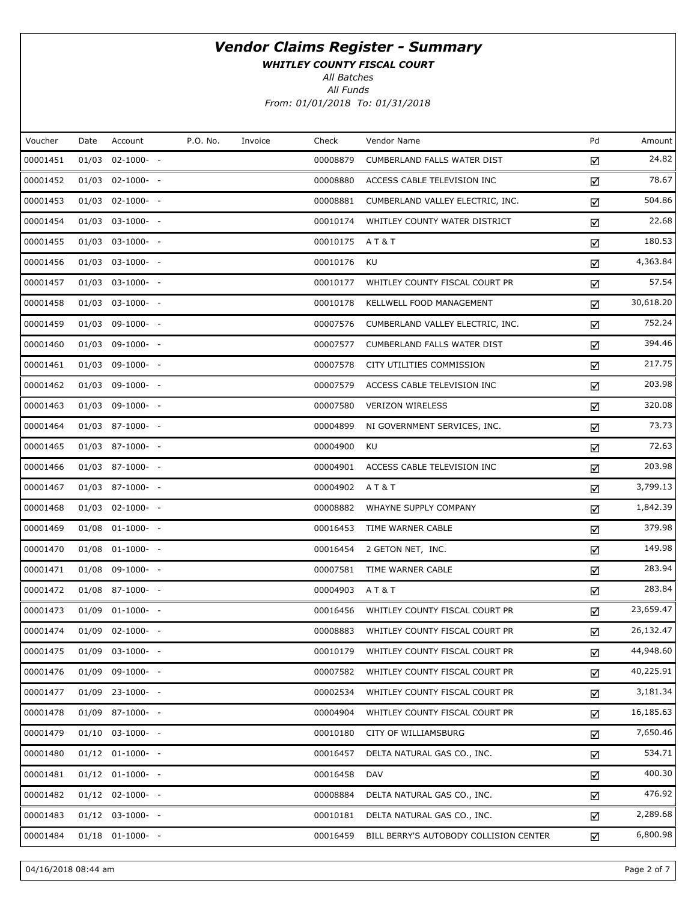WHITLEY COUNTY FISCAL COURT

All Batches

All Funds From: 01/01/2018 To: 01/31/2018

| Voucher  | Date  | Account               | P.O. No. | Invoice | Check    | Vendor Name                            | Pd | Amount    |
|----------|-------|-----------------------|----------|---------|----------|----------------------------------------|----|-----------|
| 00001451 | 01/03 | $02 - 1000 - -$       |          |         | 00008879 | CUMBERLAND FALLS WATER DIST            | ☑  | 24.82     |
| 00001452 |       | $01/03$ 02-1000- -    |          |         | 00008880 | ACCESS CABLE TELEVISION INC            | ☑  | 78.67     |
| 00001453 |       | $01/03$ 02-1000- -    |          |         | 00008881 | CUMBERLAND VALLEY ELECTRIC, INC.       | ☑  | 504.86    |
| 00001454 |       | $01/03$ 03-1000- -    |          |         | 00010174 | WHITLEY COUNTY WATER DISTRICT          | ☑  | 22.68     |
| 00001455 |       | $01/03$ 03-1000- -    |          |         | 00010175 | A T & T                                | ☑  | 180.53    |
| 00001456 |       | $01/03$ 03-1000- -    |          |         | 00010176 | KU                                     | ☑  | 4,363.84  |
| 00001457 |       | $01/03$ 03-1000- -    |          |         | 00010177 | WHITLEY COUNTY FISCAL COURT PR         | ☑  | 57.54     |
| 00001458 |       | $01/03$ 03-1000- -    |          |         | 00010178 | KELLWELL FOOD MANAGEMENT               | ☑  | 30,618.20 |
| 00001459 |       | $01/03$ 09-1000- -    |          |         | 00007576 | CUMBERLAND VALLEY ELECTRIC, INC.       | ☑  | 752.24    |
| 00001460 |       | $01/03$ 09-1000- -    |          |         | 00007577 | CUMBERLAND FALLS WATER DIST            | ☑  | 394.46    |
| 00001461 |       | $01/03$ 09-1000- -    |          |         | 00007578 | CITY UTILITIES COMMISSION              | ☑  | 217.75    |
| 00001462 |       | $01/03$ 09-1000- -    |          |         | 00007579 | ACCESS CABLE TELEVISION INC            | ☑  | 203.98    |
| 00001463 |       | $01/03$ 09-1000- -    |          |         | 00007580 | <b>VERIZON WIRELESS</b>                | ☑  | 320.08    |
| 00001464 |       | $01/03$ 87-1000- -    |          |         | 00004899 | NI GOVERNMENT SERVICES, INC.           | ☑  | 73.73     |
| 00001465 |       | $01/03$ 87-1000- -    |          |         | 00004900 | KU                                     | ☑  | 72.63     |
| 00001466 |       | $01/03$ 87-1000- -    |          |         | 00004901 | ACCESS CABLE TELEVISION INC            | ☑  | 203.98    |
| 00001467 |       | $01/03$ 87-1000- -    |          |         | 00004902 | AT&T                                   | ☑  | 3,799.13  |
| 00001468 |       | $01/03$ 02-1000- -    |          |         | 00008882 | WHAYNE SUPPLY COMPANY                  | ☑  | 1,842.39  |
| 00001469 |       | $01/08$ $01-1000-$ -  |          |         | 00016453 | TIME WARNER CABLE                      | ☑  | 379.98    |
| 00001470 |       | $01/08$ 01-1000- -    |          |         | 00016454 | 2 GETON NET, INC.                      | ☑  | 149.98    |
| 00001471 |       | $01/08$ 09-1000- -    |          |         | 00007581 | TIME WARNER CABLE                      | ☑  | 283.94    |
| 00001472 |       | $01/08$ 87-1000- -    |          |         | 00004903 | <b>AT&amp;T</b>                        | ☑  | 283.84    |
| 00001473 |       | $01/09$ $01-1000-$ -  |          |         | 00016456 | WHITLEY COUNTY FISCAL COURT PR         | ☑  | 23,659.47 |
| 00001474 |       | $01/09$ 02-1000- -    |          |         | 00008883 | WHITLEY COUNTY FISCAL COURT PR         | ☑  | 26,132.47 |
| 00001475 |       | $01/09$ 03-1000- -    |          |         | 00010179 | WHITLEY COUNTY FISCAL COURT PR         | ☑  | 44,948.60 |
| 00001476 | 01/09 | $09-1000- -$          |          |         | 00007582 | WHITLEY COUNTY FISCAL COURT PR         | ☑  | 40,225.91 |
| 00001477 |       | $01/09$ 23-1000- -    |          |         | 00002534 | WHITLEY COUNTY FISCAL COURT PR         | ☑  | 3,181.34  |
| 00001478 | 01/09 | 87-1000- -            |          |         | 00004904 | WHITLEY COUNTY FISCAL COURT PR         | ☑  | 16,185.63 |
| 00001479 |       | $01/10$ $03-1000$ - - |          |         | 00010180 | CITY OF WILLIAMSBURG                   | ☑  | 7,650.46  |
| 00001480 |       | $01/12$ $01-1000-$ -  |          |         | 00016457 | DELTA NATURAL GAS CO., INC.            | ☑  | 534.71    |
| 00001481 |       | $01/12$ $01-1000-$ -  |          |         | 00016458 | <b>DAV</b>                             | ☑  | 400.30    |
| 00001482 |       | $01/12$ $02-1000-$ -  |          |         | 00008884 | DELTA NATURAL GAS CO., INC.            | ☑  | 476.92    |
| 00001483 |       | $01/12$ 03-1000- -    |          |         | 00010181 | DELTA NATURAL GAS CO., INC.            | ☑  | 2,289.68  |
| 00001484 |       | $01/18$ $01-1000-$ -  |          |         | 00016459 | BILL BERRY'S AUTOBODY COLLISION CENTER | ☑  | 6,800.98  |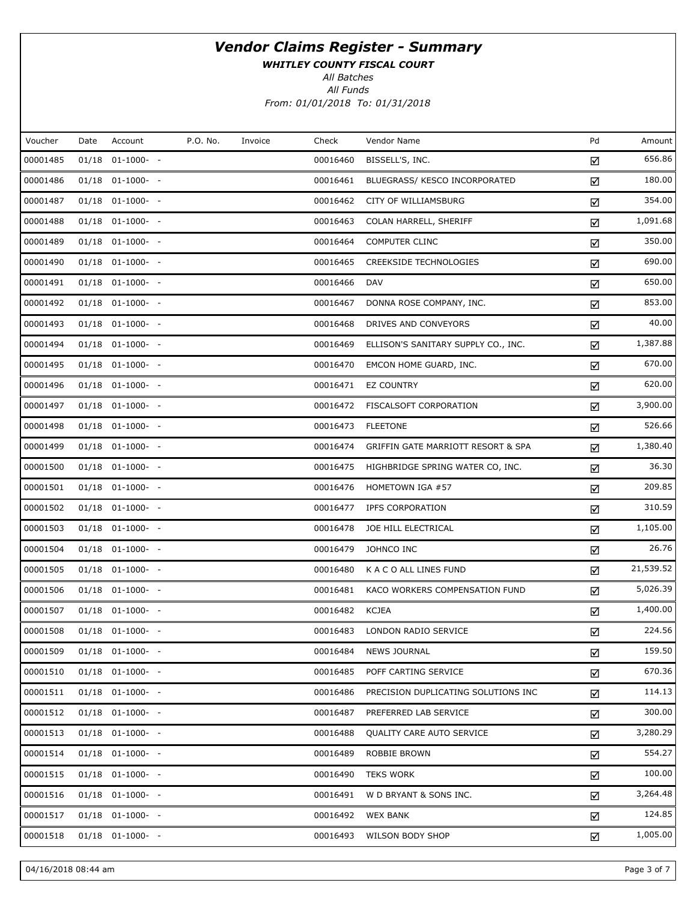WHITLEY COUNTY FISCAL COURT

All Batches

All Funds

From: 01/01/2018 To: 01/31/2018

| Voucher  | Date | Account              | P.O. No. | Invoice | Check    | Vendor Name                                   | Pd | Amount    |
|----------|------|----------------------|----------|---------|----------|-----------------------------------------------|----|-----------|
| 00001485 |      | $01/18$ $01-1000-$ - |          |         | 00016460 | BISSELL'S, INC.                               | ☑  | 656.86    |
| 00001486 |      | $01/18$ $01-1000-$ - |          |         | 00016461 | BLUEGRASS/ KESCO INCORPORATED                 | ☑  | 180.00    |
| 00001487 |      | $01/18$ $01-1000-$ - |          |         | 00016462 | CITY OF WILLIAMSBURG                          | ☑  | 354.00    |
| 00001488 |      | $01/18$ $01-1000-$ - |          |         | 00016463 | COLAN HARRELL, SHERIFF                        | ☑  | 1,091.68  |
| 00001489 |      | $01/18$ $01-1000-$   |          |         | 00016464 | <b>COMPUTER CLINC</b>                         | ☑  | 350.00    |
| 00001490 |      | $01/18$ $01-1000-$ - |          |         | 00016465 | <b>CREEKSIDE TECHNOLOGIES</b>                 | ☑  | 690.00    |
| 00001491 |      | $01/18$ $01-1000-$ - |          |         | 00016466 | <b>DAV</b>                                    | ☑  | 650.00    |
| 00001492 |      | $01/18$ $01-1000-$ - |          |         | 00016467 | DONNA ROSE COMPANY, INC.                      | ☑  | 853.00    |
| 00001493 |      | $01/18$ $01-1000-$ - |          |         | 00016468 | DRIVES AND CONVEYORS                          | ☑  | 40.00     |
| 00001494 |      | $01/18$ $01-1000-$ - |          |         | 00016469 | ELLISON'S SANITARY SUPPLY CO., INC.           | ☑  | 1,387.88  |
| 00001495 |      | $01/18$ $01-1000-$ - |          |         | 00016470 | EMCON HOME GUARD, INC.                        | ☑  | 670.00    |
| 00001496 |      | $01/18$ $01-1000-$ - |          |         | 00016471 | <b>EZ COUNTRY</b>                             | ☑  | 620.00    |
| 00001497 |      | $01/18$ $01-1000-$ - |          |         | 00016472 | FISCALSOFT CORPORATION                        | ☑  | 3,900.00  |
| 00001498 |      | $01/18$ $01-1000-$ - |          |         | 00016473 | <b>FLEETONE</b>                               | ☑  | 526.66    |
| 00001499 |      | $01/18$ $01-1000-$ - |          |         | 00016474 | <b>GRIFFIN GATE MARRIOTT RESORT &amp; SPA</b> | ☑  | 1,380.40  |
| 00001500 |      | $01/18$ $01-1000-$ - |          |         | 00016475 | HIGHBRIDGE SPRING WATER CO, INC.              | ☑  | 36.30     |
| 00001501 |      | $01/18$ $01-1000-$   |          |         | 00016476 | HOMETOWN IGA #57                              | ☑  | 209.85    |
| 00001502 |      | $01/18$ $01-1000-$ - |          |         | 00016477 | IPFS CORPORATION                              | ☑  | 310.59    |
| 00001503 |      | $01/18$ $01-1000-$ - |          |         | 00016478 | JOE HILL ELECTRICAL                           | ☑  | 1,105.00  |
| 00001504 |      | $01/18$ $01-1000-$ - |          |         | 00016479 | JOHNCO INC                                    | ☑  | 26.76     |
| 00001505 |      | $01/18$ $01-1000-$ - |          |         | 00016480 | K A C O ALL LINES FUND                        | ☑  | 21,539.52 |
| 00001506 |      | $01/18$ $01-1000-$ - |          |         | 00016481 | KACO WORKERS COMPENSATION FUND                | ☑  | 5,026.39  |
| 00001507 |      | $01/18$ $01-1000-$ - |          |         | 00016482 | <b>KCJEA</b>                                  | ☑  | 1,400.00  |
| 00001508 |      | $01/18$ $01-1000-$ - |          |         | 00016483 | LONDON RADIO SERVICE                          | ☑  | 224.56    |
| 00001509 |      | $01/18$ $01-1000-$ - |          |         | 00016484 | <b>NEWS JOURNAL</b>                           | ☑  | 159.50    |
| 00001510 |      | $01/18$ $01-1000-$   |          |         | 00016485 | POFF CARTING SERVICE                          | ☑  | 670.36    |
| 00001511 |      | $01/18$ $01-1000-$ - |          |         | 00016486 | PRECISION DUPLICATING SOLUTIONS INC           | ☑  | 114.13    |
| 00001512 |      | $01/18$ $01-1000-$ - |          |         | 00016487 | PREFERRED LAB SERVICE                         | ☑  | 300.00    |
| 00001513 |      | $01/18$ $01-1000-$ - |          |         | 00016488 | QUALITY CARE AUTO SERVICE                     | ☑  | 3,280.29  |
| 00001514 |      | $01/18$ $01-1000-$   |          |         | 00016489 | ROBBIE BROWN                                  | ☑  | 554.27    |
| 00001515 |      | $01/18$ $01-1000-$ - |          |         | 00016490 | <b>TEKS WORK</b>                              | ☑  | 100.00    |
| 00001516 |      | $01/18$ $01-1000-$   |          |         | 00016491 | W D BRYANT & SONS INC.                        | ☑  | 3,264.48  |
| 00001517 |      | $01/18$ $01-1000-$ - |          |         | 00016492 | <b>WEX BANK</b>                               | ☑  | 124.85    |
| 00001518 |      | $01/18$ $01-1000-$   |          |         | 00016493 | WILSON BODY SHOP                              | ☑  | 1,005.00  |

04/16/2018 08:44 am Page 3 of 7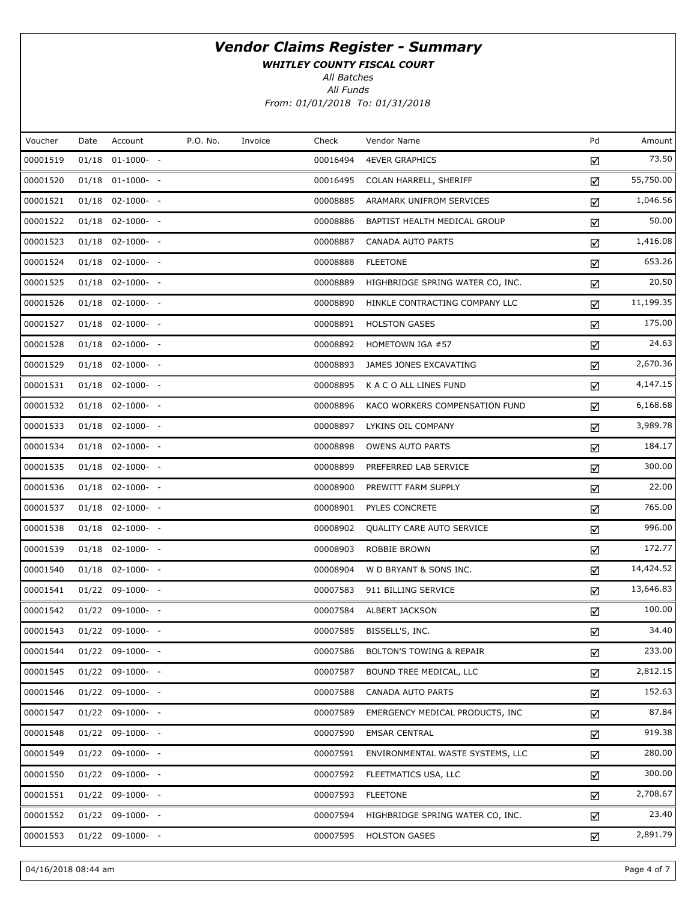WHITLEY COUNTY FISCAL COURT

All Batches

All Funds From: 01/01/2018 To: 01/31/2018

| Voucher  | Date | Account              | P.O. No. | Invoice | Check    | Vendor Name                         | Pd | Amount    |
|----------|------|----------------------|----------|---------|----------|-------------------------------------|----|-----------|
| 00001519 |      | $01/18$ $01-1000-$ - |          |         | 00016494 | <b>4EVER GRAPHICS</b>               | ☑  | 73.50     |
| 00001520 |      | $01/18$ $01-1000-$ - |          |         | 00016495 | COLAN HARRELL, SHERIFF              | ☑  | 55,750.00 |
| 00001521 |      | $01/18$ 02-1000- -   |          |         | 00008885 | ARAMARK UNIFROM SERVICES            | ☑  | 1,046.56  |
| 00001522 |      | $01/18$ 02-1000- -   |          |         | 00008886 | BAPTIST HEALTH MEDICAL GROUP        | ☑  | 50.00     |
| 00001523 |      | $01/18$ 02-1000- -   |          |         | 00008887 | CANADA AUTO PARTS                   | ☑  | 1,416.08  |
| 00001524 |      | $01/18$ 02-1000- -   |          |         | 00008888 | <b>FLEETONE</b>                     | ☑  | 653.26    |
| 00001525 |      | $01/18$ 02-1000- -   |          |         | 00008889 | HIGHBRIDGE SPRING WATER CO, INC.    | ☑  | 20.50     |
| 00001526 |      | $01/18$ 02-1000- -   |          |         | 00008890 | HINKLE CONTRACTING COMPANY LLC      | ☑  | 11,199.35 |
| 00001527 |      | $01/18$ 02-1000- -   |          |         | 00008891 | <b>HOLSTON GASES</b>                | ☑  | 175.00    |
| 00001528 |      | $01/18$ 02-1000- -   |          |         | 00008892 | HOMETOWN IGA #57                    | ☑  | 24.63     |
| 00001529 |      | $01/18$ 02-1000- -   |          |         | 00008893 | JAMES JONES EXCAVATING              | ☑  | 2,670.36  |
| 00001531 |      | $01/18$ 02-1000- -   |          |         | 00008895 | K A C O ALL LINES FUND              | ☑  | 4,147.15  |
| 00001532 |      | $01/18$ 02-1000- -   |          |         | 00008896 | KACO WORKERS COMPENSATION FUND      | ☑  | 6,168.68  |
| 00001533 |      | $01/18$ 02-1000- -   |          |         | 00008897 | LYKINS OIL COMPANY                  | ☑  | 3,989.78  |
| 00001534 |      | $01/18$ 02-1000- -   |          |         | 00008898 | <b>OWENS AUTO PARTS</b>             | ☑  | 184.17    |
| 00001535 |      | $01/18$ 02-1000- -   |          |         | 00008899 | PREFERRED LAB SERVICE               | ☑  | 300.00    |
| 00001536 |      | $01/18$ 02-1000- -   |          |         | 00008900 | PREWITT FARM SUPPLY                 | ☑  | 22.00     |
| 00001537 |      | $01/18$ 02-1000- -   |          |         | 00008901 | PYLES CONCRETE                      | ☑  | 765.00    |
| 00001538 |      | $01/18$ 02-1000- -   |          |         | 00008902 | QUALITY CARE AUTO SERVICE           | ☑  | 996.00    |
| 00001539 |      | $01/18$ 02-1000- -   |          |         | 00008903 | ROBBIE BROWN                        | ☑  | 172.77    |
| 00001540 |      | $01/18$ 02-1000- -   |          |         | 00008904 | W D BRYANT & SONS INC.              | ☑  | 14,424.52 |
| 00001541 |      | $01/22$ 09-1000- -   |          |         | 00007583 | 911 BILLING SERVICE                 | ☑  | 13,646.83 |
| 00001542 |      | $01/22$ 09-1000- -   |          |         | 00007584 | ALBERT JACKSON                      | ☑  | 100.00    |
| 00001543 |      | $01/22$ 09-1000- -   |          |         | 00007585 | BISSELL'S, INC.                     | ☑  | 34.40     |
| 00001544 |      | $01/22$ 09-1000- -   |          |         | 00007586 | <b>BOLTON'S TOWING &amp; REPAIR</b> | ☑  | 233.00    |
| 00001545 |      | $01/22$ 09-1000- -   |          |         | 00007587 | BOUND TREE MEDICAL, LLC             | ☑  | 2,812.15  |
| 00001546 |      | $01/22$ 09-1000- -   |          |         | 00007588 | CANADA AUTO PARTS                   | ☑  | 152.63    |
| 00001547 |      | $01/22$ 09-1000- -   |          |         | 00007589 | EMERGENCY MEDICAL PRODUCTS, INC.    | ☑  | 87.84     |
| 00001548 |      | $01/22$ 09-1000- -   |          |         | 00007590 | <b>EMSAR CENTRAL</b>                | ☑  | 919.38    |
| 00001549 |      | $01/22$ 09-1000- -   |          |         | 00007591 | ENVIRONMENTAL WASTE SYSTEMS, LLC    | ☑  | 280.00    |
| 00001550 |      | $01/22$ 09-1000- -   |          |         | 00007592 | FLEETMATICS USA, LLC                | ☑  | 300.00    |
| 00001551 |      | $01/22$ 09-1000- -   |          |         | 00007593 | <b>FLEETONE</b>                     | ☑  | 2,708.67  |
| 00001552 |      | $01/22$ 09-1000- -   |          |         | 00007594 | HIGHBRIDGE SPRING WATER CO, INC.    | ☑  | 23.40     |
| 00001553 |      | $01/22$ 09-1000- -   |          |         | 00007595 | <b>HOLSTON GASES</b>                | ☑  | 2,891.79  |

04/16/2018 08:44 am Page 4 of 7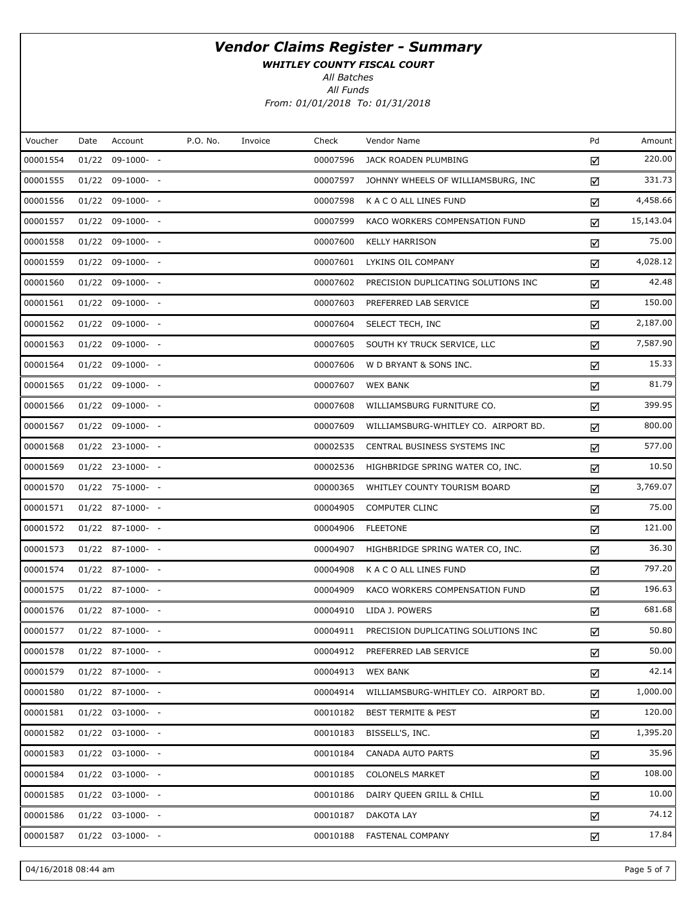WHITLEY COUNTY FISCAL COURT

All Batches

All Funds From: 01/01/2018 To: 01/31/2018

| Voucher  | Date | Account            | P.O. No. | Invoice | Check    | Vendor Name                          | Pd | Amount    |
|----------|------|--------------------|----------|---------|----------|--------------------------------------|----|-----------|
| 00001554 |      | $01/22$ 09-1000- - |          |         | 00007596 | JACK ROADEN PLUMBING                 | ☑  | 220.00    |
| 00001555 |      | $01/22$ 09-1000- - |          |         | 00007597 | JOHNNY WHEELS OF WILLIAMSBURG, INC   | ☑  | 331.73    |
| 00001556 |      | $01/22$ 09-1000- - |          |         | 00007598 | K A C O ALL LINES FUND               | ☑  | 4,458.66  |
| 00001557 |      | $01/22$ 09-1000- - |          |         | 00007599 | KACO WORKERS COMPENSATION FUND       | ☑  | 15,143.04 |
| 00001558 |      | $01/22$ 09-1000- - |          |         | 00007600 | <b>KELLY HARRISON</b>                | ☑  | 75.00     |
| 00001559 |      | $01/22$ 09-1000- - |          |         | 00007601 | LYKINS OIL COMPANY                   | ☑  | 4,028.12  |
| 00001560 |      | $01/22$ 09-1000- - |          |         | 00007602 | PRECISION DUPLICATING SOLUTIONS INC  | ☑  | 42.48     |
| 00001561 |      | $01/22$ 09-1000- - |          |         | 00007603 | PREFERRED LAB SERVICE                | ☑  | 150.00    |
| 00001562 |      | $01/22$ 09-1000- - |          |         | 00007604 | SELECT TECH, INC                     | ☑  | 2,187.00  |
| 00001563 |      | $01/22$ 09-1000- - |          |         | 00007605 | SOUTH KY TRUCK SERVICE, LLC          | ☑  | 7,587.90  |
| 00001564 |      | $01/22$ 09-1000- - |          |         | 00007606 | W D BRYANT & SONS INC.               | ☑  | 15.33     |
| 00001565 |      | $01/22$ 09-1000- - |          |         | 00007607 | <b>WEX BANK</b>                      | ☑  | 81.79     |
| 00001566 |      | $01/22$ 09-1000- - |          |         | 00007608 | WILLIAMSBURG FURNITURE CO.           | ☑  | 399.95    |
| 00001567 |      | $01/22$ 09-1000- - |          |         | 00007609 | WILLIAMSBURG-WHITLEY CO. AIRPORT BD. | ☑  | 800.00    |
| 00001568 |      | $01/22$ 23-1000- - |          |         | 00002535 | CENTRAL BUSINESS SYSTEMS INC         | ☑  | 577.00    |
| 00001569 |      | $01/22$ 23-1000- - |          |         | 00002536 | HIGHBRIDGE SPRING WATER CO, INC.     | ☑  | 10.50     |
| 00001570 |      | $01/22$ 75-1000- - |          |         | 00000365 | WHITLEY COUNTY TOURISM BOARD         | ☑  | 3,769.07  |
| 00001571 |      | $01/22$ 87-1000- - |          |         | 00004905 | <b>COMPUTER CLINC</b>                | ☑  | 75.00     |
| 00001572 |      | $01/22$ 87-1000- - |          |         | 00004906 | <b>FLEETONE</b>                      | ☑  | 121.00    |
| 00001573 |      | $01/22$ 87-1000- - |          |         | 00004907 | HIGHBRIDGE SPRING WATER CO, INC.     | ☑  | 36.30     |
| 00001574 |      | $01/22$ 87-1000- - |          |         | 00004908 | K A C O ALL LINES FUND               | ☑  | 797.20    |
| 00001575 |      | $01/22$ 87-1000- - |          |         | 00004909 | KACO WORKERS COMPENSATION FUND       | ☑  | 196.63    |
| 00001576 |      | $01/22$ 87-1000- - |          |         | 00004910 | LIDA J. POWERS                       | ☑  | 681.68    |
| 00001577 |      | $01/22$ 87-1000- - |          |         | 00004911 | PRECISION DUPLICATING SOLUTIONS INC  | ☑  | 50.80     |
| 00001578 |      | $01/22$ 87-1000- - |          |         | 00004912 | PREFERRED LAB SERVICE                | ☑  | 50.00     |
| 00001579 |      | $01/22$ 87-1000- - |          |         | 00004913 | <b>WEX BANK</b>                      | ☑  | 42.14     |
| 00001580 |      | $01/22$ 87-1000- - |          |         | 00004914 | WILLIAMSBURG-WHITLEY CO. AIRPORT BD. | ☑  | 1,000.00  |
| 00001581 |      | $01/22$ 03-1000- - |          |         | 00010182 | <b>BEST TERMITE &amp; PEST</b>       | ☑  | 120.00    |
| 00001582 |      | $01/22$ 03-1000- - |          |         | 00010183 | BISSELL'S, INC.                      | ☑  | 1,395.20  |
| 00001583 |      | $01/22$ 03-1000- - |          |         | 00010184 | CANADA AUTO PARTS                    | ☑  | 35.96     |
| 00001584 |      | $01/22$ 03-1000- - |          |         | 00010185 | <b>COLONELS MARKET</b>               | ☑  | 108.00    |
| 00001585 |      | $01/22$ 03-1000- - |          |         | 00010186 | DAIRY QUEEN GRILL & CHILL            | ☑  | 10.00     |
| 00001586 |      | $01/22$ 03-1000- - |          |         | 00010187 | DAKOTA LAY                           | ☑  | 74.12     |
| 00001587 |      | $01/22$ 03-1000- - |          |         | 00010188 | FASTENAL COMPANY                     | ☑  | 17.84     |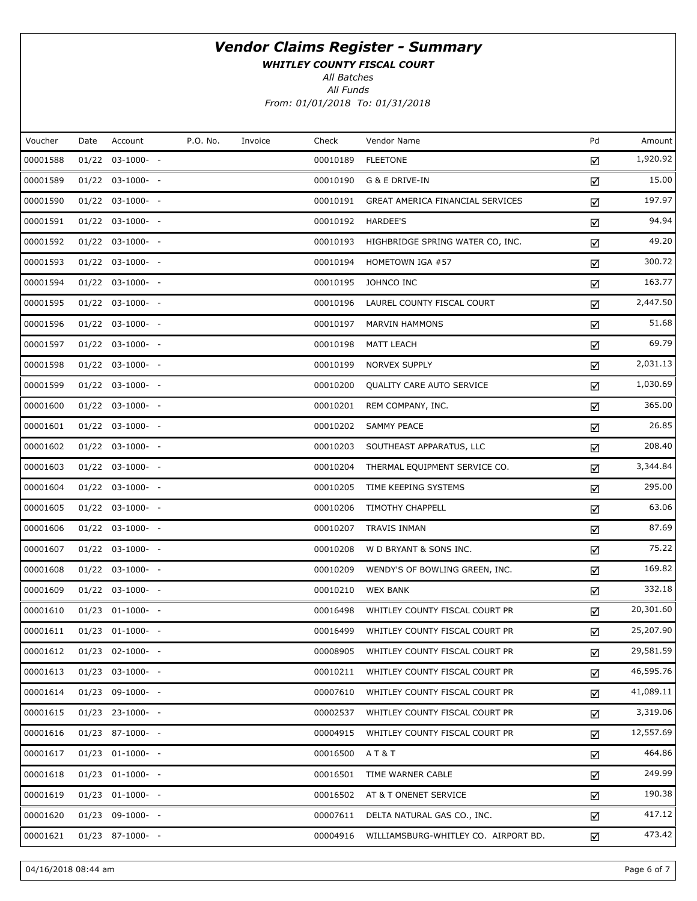WHITLEY COUNTY FISCAL COURT

All Batches

All Funds From: 01/01/2018 To: 01/31/2018

| Voucher  | Date | Account               | P.O. No. | Invoice | Check    | Vendor Name                          | Pd | Amount    |
|----------|------|-----------------------|----------|---------|----------|--------------------------------------|----|-----------|
| 00001588 |      | $01/22$ $03-1000-$ -  |          |         | 00010189 | <b>FLEETONE</b>                      | ☑  | 1,920.92  |
| 00001589 |      | $01/22$ 03-1000- -    |          |         | 00010190 | G & E DRIVE-IN                       | ☑  | 15.00     |
| 00001590 |      | $01/22$ 03-1000- -    |          |         | 00010191 | GREAT AMERICA FINANCIAL SERVICES     | ☑  | 197.97    |
| 00001591 |      | $01/22$ 03-1000- -    |          |         | 00010192 | HARDEE'S                             | ☑  | 94.94     |
| 00001592 |      | $01/22$ 03-1000- -    |          |         | 00010193 | HIGHBRIDGE SPRING WATER CO, INC.     | ☑  | 49.20     |
| 00001593 |      | $01/22$ 03-1000- -    |          |         | 00010194 | HOMETOWN IGA #57                     | ☑  | 300.72    |
| 00001594 |      | $01/22$ 03-1000- -    |          |         | 00010195 | JOHNCO INC                           | ☑  | 163.77    |
| 00001595 |      | $01/22$ 03-1000- -    |          |         | 00010196 | LAUREL COUNTY FISCAL COURT           | ☑  | 2,447.50  |
| 00001596 |      | $01/22$ 03-1000- -    |          |         | 00010197 | MARVIN HAMMONS                       | ☑  | 51.68     |
| 00001597 |      | $01/22$ 03-1000- -    |          |         | 00010198 | MATT LEACH                           | ☑  | 69.79     |
| 00001598 |      | $01/22$ 03-1000- -    |          |         | 00010199 | NORVEX SUPPLY                        | ☑  | 2,031.13  |
| 00001599 |      | $01/22$ 03-1000- -    |          |         | 00010200 | QUALITY CARE AUTO SERVICE            | ☑  | 1,030.69  |
| 00001600 |      | $01/22$ 03-1000- -    |          |         | 00010201 | REM COMPANY, INC.                    | ☑  | 365.00    |
| 00001601 |      | $01/22$ 03-1000- -    |          |         | 00010202 | SAMMY PEACE                          | ☑  | 26.85     |
| 00001602 |      | $01/22$ 03-1000- -    |          |         | 00010203 | SOUTHEAST APPARATUS, LLC             | ☑  | 208.40    |
| 00001603 |      | $01/22$ 03-1000- -    |          |         | 00010204 | THERMAL EQUIPMENT SERVICE CO.        | ☑  | 3,344.84  |
| 00001604 |      | $01/22$ 03-1000- -    |          |         | 00010205 | TIME KEEPING SYSTEMS                 | ☑  | 295.00    |
| 00001605 |      | $01/22$ 03-1000- -    |          |         | 00010206 | <b>TIMOTHY CHAPPELL</b>              | ☑  | 63.06     |
| 00001606 |      | $01/22$ 03-1000- -    |          |         | 00010207 | TRAVIS INMAN                         | ☑  | 87.69     |
| 00001607 |      | $01/22$ 03-1000- -    |          |         | 00010208 | W D BRYANT & SONS INC.               | ☑  | 75.22     |
| 00001608 |      | $01/22$ 03-1000- -    |          |         | 00010209 | WENDY'S OF BOWLING GREEN, INC.       | ☑  | 169.82    |
| 00001609 |      | $01/22$ 03-1000- -    |          |         | 00010210 | <b>WEX BANK</b>                      | ☑  | 332.18    |
| 00001610 |      | $01/23$ $01-1000-$ -  |          |         | 00016498 | WHITLEY COUNTY FISCAL COURT PR       | ☑  | 20,301.60 |
| 00001611 |      | $01/23$ $01-1000-$ -  |          |         | 00016499 | WHITLEY COUNTY FISCAL COURT PR       | ☑  | 25,207.90 |
| 00001612 |      | $01/23$ 02-1000- -    |          |         | 00008905 | WHITLEY COUNTY FISCAL COURT PR       | ☑  | 29,581.59 |
| 00001613 |      | $01/23$ 03-1000- -    |          |         | 00010211 | WHITLEY COUNTY FISCAL COURT PR       | ☑  | 46,595.76 |
| 00001614 |      | $01/23$ 09-1000- -    |          |         | 00007610 | WHITLEY COUNTY FISCAL COURT PR       | ☑  | 41,089.11 |
| 00001615 |      | $01/23$ 23-1000- -    |          |         | 00002537 | WHITLEY COUNTY FISCAL COURT PR       | ☑  | 3,319.06  |
| 00001616 |      | $01/23$ 87-1000- -    |          |         | 00004915 | WHITLEY COUNTY FISCAL COURT PR       | ☑  | 12,557.69 |
| 00001617 |      | $01/23$ $01-1000$ - - |          |         | 00016500 | AT&T                                 | ☑  | 464.86    |
| 00001618 |      | $01/23$ $01-1000-$ -  |          |         | 00016501 | TIME WARNER CABLE                    | ☑  | 249.99    |
| 00001619 |      | $01/23$ $01-1000$ - - |          |         | 00016502 | AT & T ONENET SERVICE                | ☑  | 190.38    |
| 00001620 |      | $01/23$ 09-1000- -    |          |         | 00007611 | DELTA NATURAL GAS CO., INC.          | ☑  | 417.12    |
| 00001621 |      | $01/23$ 87-1000- -    |          |         | 00004916 | WILLIAMSBURG-WHITLEY CO. AIRPORT BD. | ☑  | 473.42    |